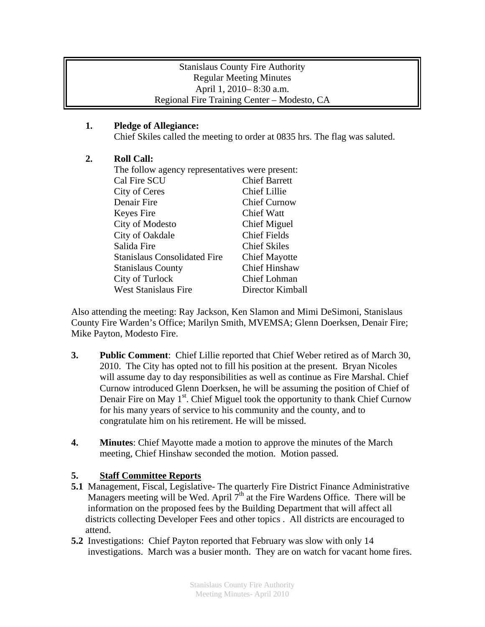### Stanislaus County Fire Authority Regular Meeting Minutes April 1, 2010– 8:30 a.m. Regional Fire Training Center – Modesto, CA

# **1. Pledge of Allegiance:**

Chief Skiles called the meeting to order at 0835 hrs. The flag was saluted.

# **2. Roll Call:**

| The follow agency representatives were present: |  |
|-------------------------------------------------|--|
| <b>Chief Barrett</b>                            |  |
| <b>Chief Lillie</b>                             |  |
| <b>Chief Curnow</b>                             |  |
| Chief Watt                                      |  |
| Chief Miguel                                    |  |
| <b>Chief Fields</b>                             |  |
| <b>Chief Skiles</b>                             |  |
| <b>Chief Mayotte</b>                            |  |
| <b>Chief Hinshaw</b>                            |  |
| Chief Lohman                                    |  |
| Director Kimball                                |  |
|                                                 |  |

Also attending the meeting: Ray Jackson, Ken Slamon and Mimi DeSimoni, Stanislaus County Fire Warden's Office; Marilyn Smith, MVEMSA; Glenn Doerksen, Denair Fire; Mike Payton, Modesto Fire.

- **3. Public Comment**: Chief Lillie reported that Chief Weber retired as of March 30, 2010. The City has opted not to fill his position at the present. Bryan Nicoles will assume day to day responsibilities as well as continue as Fire Marshal. Chief Curnow introduced Glenn Doerksen, he will be assuming the position of Chief of Denair Fire on May  $1<sup>st</sup>$ . Chief Miguel took the opportunity to thank Chief Curnow for his many years of service to his community and the county, and to congratulate him on his retirement. He will be missed.
- **4. Minutes**: Chief Mayotte made a motion to approve the minutes of the March meeting, Chief Hinshaw seconded the motion. Motion passed.

### **5. Staff Committee Reports**

- **5.1** Management, Fiscal, Legislative- The quarterly Fire District Finance Administrative Managers meeting will be Wed. April  $7<sup>th</sup>$  at the Fire Wardens Office. There will be information on the proposed fees by the Building Department that will affect all districts collecting Developer Fees and other topics . All districts are encouraged to attend.
- **5.2** Investigations: Chief Payton reported that February was slow with only 14 investigations. March was a busier month. They are on watch for vacant home fires.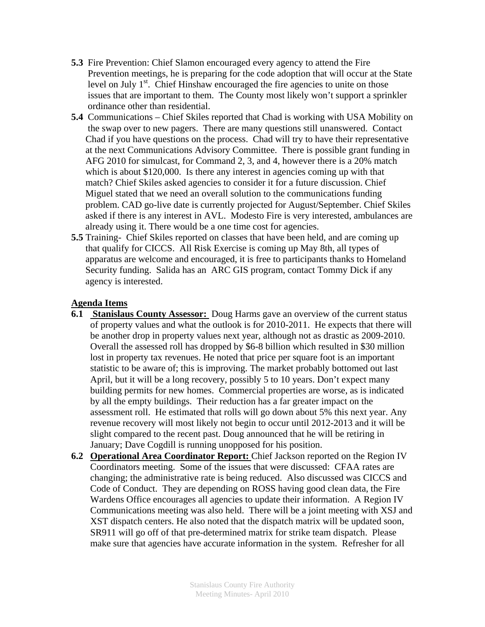- **5.3** Fire Prevention: Chief Slamon encouraged every agency to attend the Fire Prevention meetings, he is preparing for the code adoption that will occur at the State level on July  $1<sup>st</sup>$ . Chief Hinshaw encouraged the fire agencies to unite on those issues that are important to them. The County most likely won't support a sprinkler ordinance other than residential.
- **5.4** Communications Chief Skiles reported that Chad is working with USA Mobility on the swap over to new pagers. There are many questions still unanswered. Contact Chad if you have questions on the process. Chad will try to have their representative at the next Communications Advisory Committee. There is possible grant funding in AFG 2010 for simulcast, for Command 2, 3, and 4, however there is a 20% match which is about \$120,000. Is there any interest in agencies coming up with that match? Chief Skiles asked agencies to consider it for a future discussion. Chief Miguel stated that we need an overall solution to the communications funding problem. CAD go-live date is currently projected for August/September. Chief Skiles asked if there is any interest in AVL. Modesto Fire is very interested, ambulances are already using it. There would be a one time cost for agencies.
- **5.5** Training- Chief Skiles reported on classes that have been held, and are coming up that qualify for CICCS. All Risk Exercise is coming up May 8th, all types of apparatus are welcome and encouraged, it is free to participants thanks to Homeland Security funding. Salida has an ARC GIS program, contact Tommy Dick if any agency is interested.

#### **Agenda Items**

- **6.1 Stanislaus County Assessor:** Doug Harms gave an overview of the current status of property values and what the outlook is for 2010-2011. He expects that there will be another drop in property values next year, although not as drastic as 2009-2010. Overall the assessed roll has dropped by \$6-8 billion which resulted in \$30 million lost in property tax revenues. He noted that price per square foot is an important statistic to be aware of; this is improving. The market probably bottomed out last April, but it will be a long recovery, possibly 5 to 10 years. Don't expect many building permits for new homes. Commercial properties are worse, as is indicated by all the empty buildings. Their reduction has a far greater impact on the assessment roll. He estimated that rolls will go down about 5% this next year. Any revenue recovery will most likely not begin to occur until 2012-2013 and it will be slight compared to the recent past. Doug announced that he will be retiring in January; Dave Cogdill is running unopposed for his position.
- **6.2 Operational Area Coordinator Report:** Chief Jackson reported on the Region IV Coordinators meeting. Some of the issues that were discussed: CFAA rates are changing; the administrative rate is being reduced. Also discussed was CICCS and Code of Conduct. They are depending on ROSS having good clean data, the Fire Wardens Office encourages all agencies to update their information. A Region IV Communications meeting was also held. There will be a joint meeting with XSJ and XST dispatch centers. He also noted that the dispatch matrix will be updated soon, SR911 will go off of that pre-determined matrix for strike team dispatch. Please make sure that agencies have accurate information in the system. Refresher for all